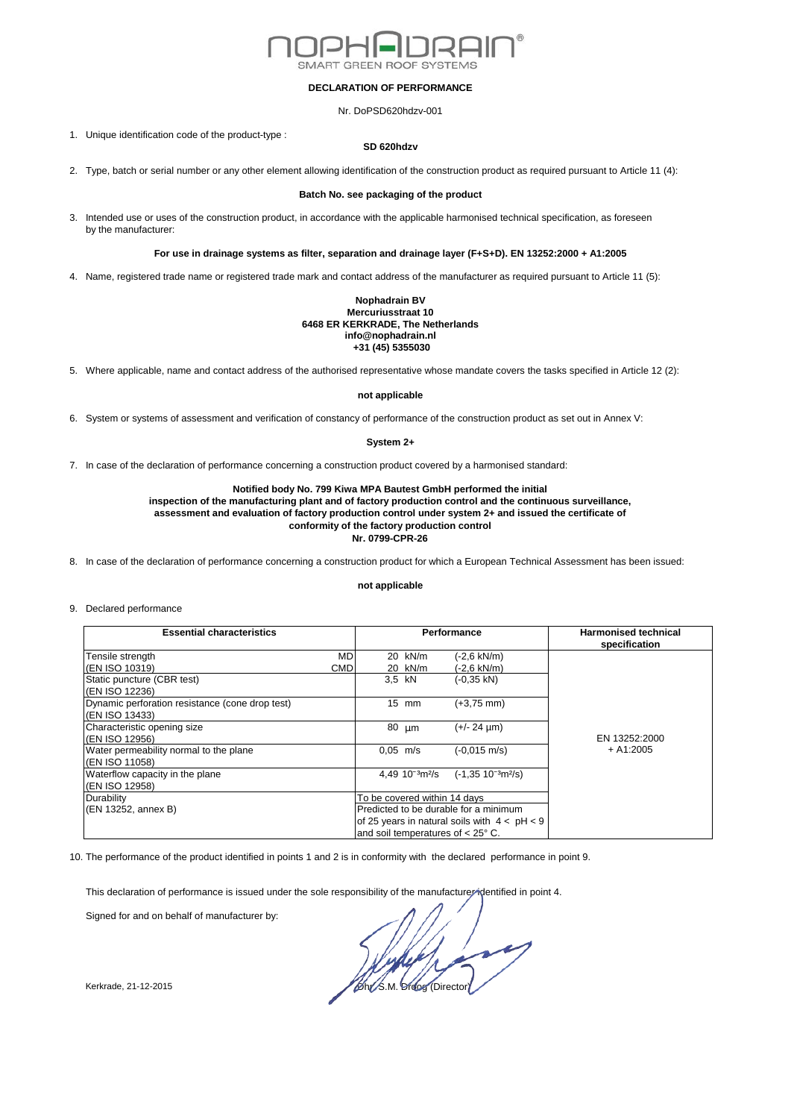

## **DECLARATION OF PERFORMANCE**

Nr. DoPSD620hdzv-001

1. Unique identification code of the product-type :

### **SD 620hdzv**

2. Type, batch or serial number or any other element allowing identification of the construction product as required pursuant to Article 11 (4):

#### **Batch No. see packaging of the product**

3. Intended use or uses of the construction product, in accordance with the applicable harmonised technical specification, as foreseen by the manufacturer:

# **For use in drainage systems as filter, separation and drainage layer (F+S+D). EN 13252:2000 + A1:2005**

4. Name, registered trade name or registered trade mark and contact address of the manufacturer as required pursuant to Article 11 (5):

#### **Nophadrain BV Mercuriusstraat 10 6468 ER KERKRADE, The Netherlands info@nophadrain.nl +31 (45) 5355030**

5. Where applicable, name and contact address of the authorised representative whose mandate covers the tasks specified in Article 12 (2):

### **not applicable**

6. System or systems of assessment and verification of constancy of performance of the construction product as set out in Annex V:

## **System 2+**

7. In case of the declaration of performance concerning a construction product covered by a harmonised standard:

# **Notified body No. 799 Kiwa MPA Bautest GmbH performed the initial**

**inspection of the manufacturing plant and of factory production control and the continuous surveillance, assessment and evaluation of factory production control under system 2+ and issued the certificate of conformity of the factory production control Nr. 0799-CPR-26**

8. In case of the declaration of performance concerning a construction product for which a European Technical Assessment has been issued:

#### **not applicable**

9. Declared performance

| <b>Essential characteristics</b>                |     | Performance                  |                                  |                                                | <b>Harmonised technical</b><br>specification |
|-------------------------------------------------|-----|------------------------------|----------------------------------|------------------------------------------------|----------------------------------------------|
| Tensile strength                                | MD  |                              | 20 kN/m                          | (-2,6 kN/m)                                    |                                              |
| (EN ISO 10319)                                  | CMD |                              | 20 kN/m                          | (-2,6 kN/m)                                    |                                              |
| Static puncture (CBR test)                      |     | 3.5 kN                       |                                  | $(-0.35$ kN)                                   |                                              |
| (EN ISO 12236)                                  |     |                              |                                  |                                                |                                              |
| Dynamic perforation resistance (cone drop test) |     |                              | $15$ mm                          | $(+3,75$ mm)                                   |                                              |
| (EN ISO 13433)                                  |     |                              |                                  |                                                |                                              |
| Characteristic opening size                     |     | $80 \mu m$                   |                                  | $(+/- 24 \mu m)$                               |                                              |
| (EN ISO 12956)                                  |     |                              |                                  |                                                | EN 13252:2000                                |
| Water permeability normal to the plane          |     | $0.05$ m/s                   |                                  | $(-0.015 \text{ m/s})$                         | $+ A1:2005$                                  |
| (EN ISO 11058)                                  |     |                              |                                  |                                                |                                              |
| Waterflow capacity in the plane                 |     |                              | 4.49 $10^{-3}$ m <sup>2</sup> /s | $(-1.35 \ 10^{-3} \text{m}^2/\text{s})$        |                                              |
| (EN ISO 12958)                                  |     |                              |                                  |                                                |                                              |
| Durability                                      |     | To be covered within 14 days |                                  |                                                |                                              |
| (EN 13252, annex B)                             |     |                              |                                  | Predicted to be durable for a minimum          |                                              |
|                                                 |     |                              |                                  | of 25 years in natural soils with $4 < pH < 9$ |                                              |
|                                                 |     |                              |                                  | and soil temperatures of $< 25^{\circ}$ C.     |                                              |

10. The performance of the product identified in points 1 and 2 is in conformity with the declared performance in point 9.

This declaration of performance is issued under the sole responsibility of the manufacturer identified in point 4.

Signed for and on behalf of manufacturer by:

Kerkrade, 21-12-2015  $\sqrt{6h\sqrt{8}}$  M. Droog (Director)